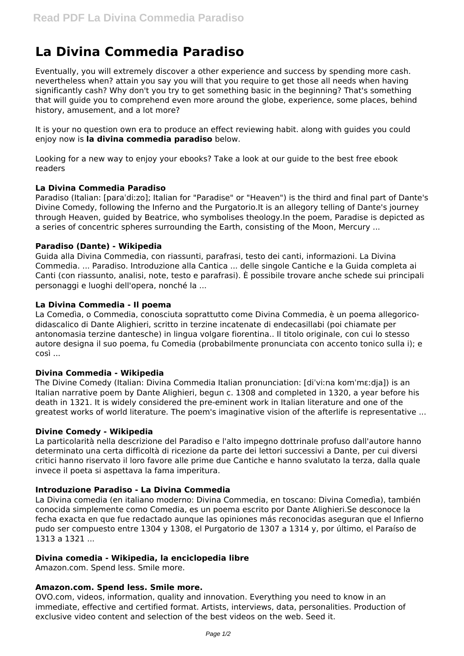# **La Divina Commedia Paradiso**

Eventually, you will extremely discover a other experience and success by spending more cash. nevertheless when? attain you say you will that you require to get those all needs when having significantly cash? Why don't you try to get something basic in the beginning? That's something that will guide you to comprehend even more around the globe, experience, some places, behind history, amusement, and a lot more?

It is your no question own era to produce an effect reviewing habit. along with guides you could enjoy now is **la divina commedia paradiso** below.

Looking for a new way to enjoy your ebooks? Take a look at our guide to the best free ebook readers

# **La Divina Commedia Paradiso**

Paradiso (Italian: [paraˈdiːzo]; Italian for "Paradise" or "Heaven") is the third and final part of Dante's Divine Comedy, following the Inferno and the Purgatorio.It is an allegory telling of Dante's journey through Heaven, guided by Beatrice, who symbolises theology.In the poem, Paradise is depicted as a series of concentric spheres surrounding the Earth, consisting of the Moon, Mercury ...

# **Paradiso (Dante) - Wikipedia**

Guida alla Divina Commedia, con riassunti, parafrasi, testo dei canti, informazioni. La Divina Commedia. ... Paradiso. Introduzione alla Cantica ... delle singole Cantiche e la Guida completa ai Canti (con riassunto, analisi, note, testo e parafrasi). È possibile trovare anche schede sui principali personaggi e luoghi dell'opera, nonché la ...

# **La Divina Commedia - Il poema**

La Comedìa, o Commedia, conosciuta soprattutto come Divina Commedia, è un poema allegoricodidascalico di Dante Alighieri, scritto in terzine incatenate di endecasillabi (poi chiamate per antonomasia terzine dantesche) in lingua volgare fiorentina.. Il titolo originale, con cui lo stesso autore designa il suo poema, fu Comedia (probabilmente pronunciata con accento tonico sulla i); e così ...

# **Divina Commedia - Wikipedia**

The Divine Comedy (Italian: Divina Commedia Italian pronunciation: [diˈviːna komˈmɛːdja]) is an Italian narrative poem by Dante Alighieri, begun c. 1308 and completed in 1320, a year before his death in 1321. It is widely considered the pre-eminent work in Italian literature and one of the greatest works of world literature. The poem's imaginative vision of the afterlife is representative ...

# **Divine Comedy - Wikipedia**

La particolarità nella descrizione del Paradiso e l'alto impegno dottrinale profuso dall'autore hanno determinato una certa difficoltà di ricezione da parte dei lettori successivi a Dante, per cui diversi critici hanno riservato il loro favore alle prime due Cantiche e hanno svalutato la terza, dalla quale invece il poeta si aspettava la fama imperitura.

# **Introduzione Paradiso - La Divina Commedia**

La Divina comedia (en italiano moderno: Divina Commedia, en toscano: Divina Comedìa), también conocida simplemente como Comedia, es un poema escrito por Dante Alighieri.Se desconoce la fecha exacta en que fue redactado aunque las opiniones más reconocidas aseguran que el Infierno pudo ser compuesto entre 1304 y 1308, el Purgatorio de 1307 a 1314 y, por último, el Paraíso de 1313 a 1321 ...

# **Divina comedia - Wikipedia, la enciclopedia libre**

Amazon.com. Spend less. Smile more.

# **Amazon.com. Spend less. Smile more.**

OVO.com, videos, information, quality and innovation. Everything you need to know in an immediate, effective and certified format. Artists, interviews, data, personalities. Production of exclusive video content and selection of the best videos on the web. Seed it.